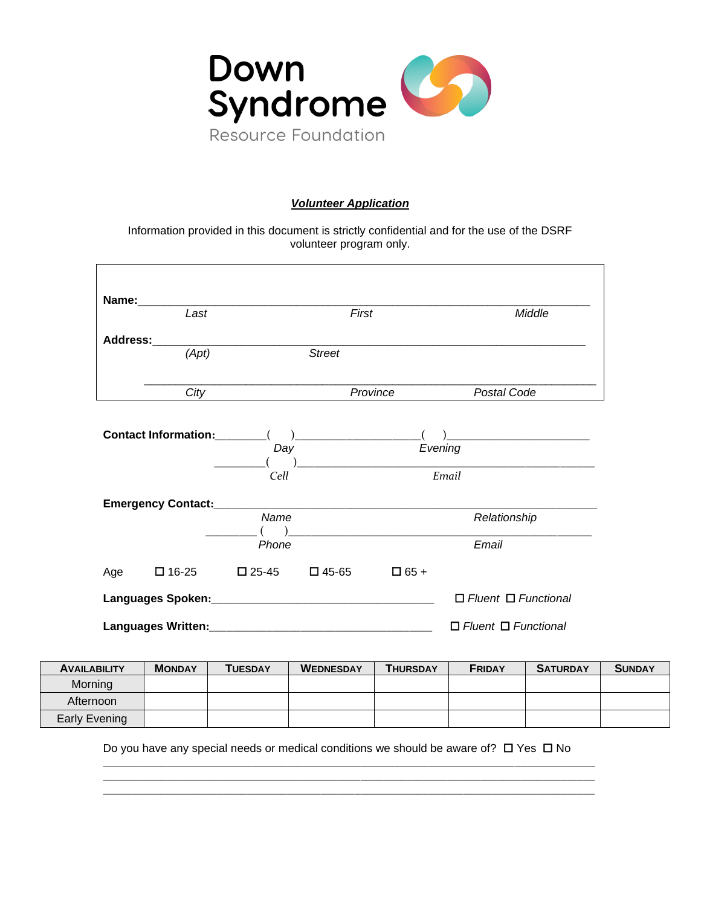

## *Volunteer Application*

Information provided in this document is strictly confidential and for the use of the DSRF volunteer program only.

| Name: 2008 2010 2020 2021 2022 2023 2024 2022 2023 2024 2022 2023 2024 2022 2023 2024 2022 2023 2024 2022 2023<br>$\overline{Last}$ |                 |                 | First    |             | Middle                                         |
|-------------------------------------------------------------------------------------------------------------------------------------|-----------------|-----------------|----------|-------------|------------------------------------------------|
| <b>Address:</b>                                                                                                                     |                 |                 |          |             |                                                |
| (Apt)                                                                                                                               |                 | <b>Street</b>   |          |             |                                                |
| City                                                                                                                                |                 |                 | Province |             | Postal Code                                    |
|                                                                                                                                     |                 |                 |          |             | $\overline{a}$                                 |
|                                                                                                                                     | Day             |                 |          |             | Evening<br>) and the contract of $\mathcal{L}$ |
|                                                                                                                                     | Cell            |                 |          |             | Email                                          |
|                                                                                                                                     |                 |                 |          |             |                                                |
|                                                                                                                                     | Name            |                 |          |             | Relationship                                   |
|                                                                                                                                     | Phone           |                 |          |             | Email                                          |
| $\square$ 16-25<br>Age                                                                                                              | $\square$ 25-45 | $\square$ 45-65 |          | $\Box$ 65 + |                                                |
|                                                                                                                                     |                 |                 |          |             | $\Box$ Fluent $\Box$ Functional                |
|                                                                                                                                     |                 |                 |          |             | $\Box$ Fluent $\Box$ Functional                |

| <b>AVAILABILITY</b> | <b>MONDAY</b> | <b>TUESDAY</b> | <b>WEDNESDAY</b> | <b>THURSDAY</b> | <b>FRIDAY</b> | <b>SATURDAY</b> | <b>SUNDAY</b> |
|---------------------|---------------|----------------|------------------|-----------------|---------------|-----------------|---------------|
| Morning             |               |                |                  |                 |               |                 |               |
| Afternoon           |               |                |                  |                 |               |                 |               |
| Early Evening       |               |                |                  |                 |               |                 |               |

Do you have any special needs or medical conditions we should be aware of?  $\Box$  Yes  $\Box$  No

\_\_\_\_\_\_\_\_\_\_\_\_\_\_\_\_\_\_\_\_\_\_\_\_\_\_\_\_\_\_\_\_\_\_\_\_\_\_\_\_\_\_\_\_\_\_\_\_\_\_\_\_\_\_\_\_\_\_\_\_\_\_\_\_\_\_\_\_\_\_\_\_\_\_\_\_\_\_\_\_\_\_\_\_\_\_ \_\_\_\_\_\_\_\_\_\_\_\_\_\_\_\_\_\_\_\_\_\_\_\_\_\_\_\_\_\_\_\_\_\_\_\_\_\_\_\_\_\_\_\_\_\_\_\_\_\_\_\_\_\_\_\_\_\_\_\_\_\_\_\_\_\_\_\_\_\_\_\_\_\_\_\_\_\_\_\_\_\_\_\_\_\_ \_\_\_\_\_\_\_\_\_\_\_\_\_\_\_\_\_\_\_\_\_\_\_\_\_\_\_\_\_\_\_\_\_\_\_\_\_\_\_\_\_\_\_\_\_\_\_\_\_\_\_\_\_\_\_\_\_\_\_\_\_\_\_\_\_\_\_\_\_\_\_\_\_\_\_\_\_\_\_\_\_\_\_\_\_\_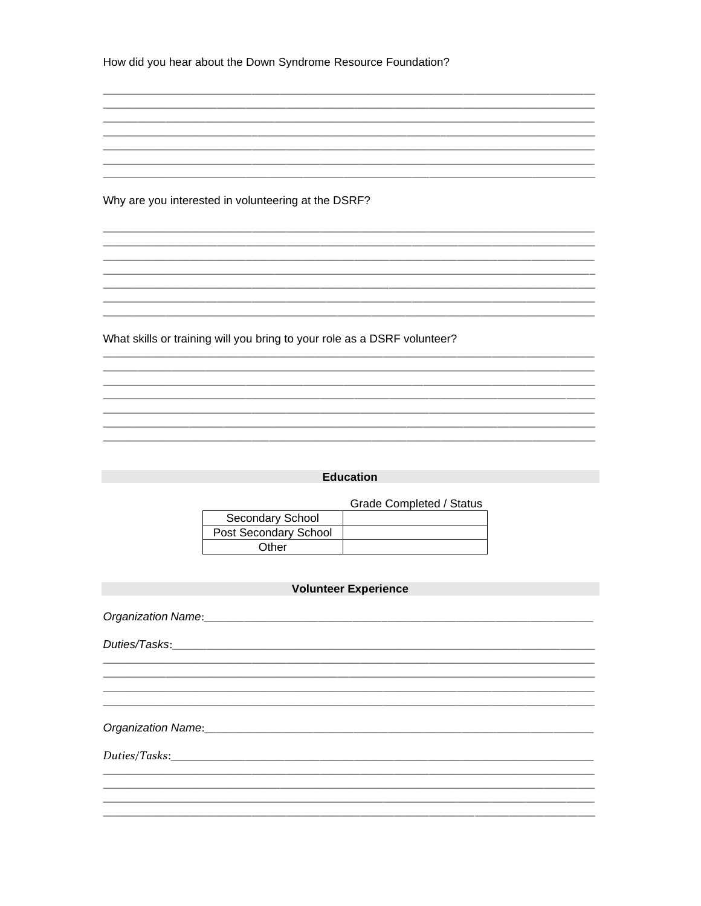| How did you hear about the Down Syndrome Resource Foundation? |  |
|---------------------------------------------------------------|--|
|---------------------------------------------------------------|--|

Why are you interested in volunteering at the DSRF?

What skills or training will you bring to your role as a DSRF volunteer?

### **Education**

**Grade Completed / Status** 

| Secondary School      |  |
|-----------------------|--|
| Post Secondary School |  |
| Other                 |  |

### **Volunteer Experience Contract Contract Contract Contract Contract Contract Contract Contract Contract Contract Contract Contract Contract Contract Contract Contract Contract Contract Contract Contract Contract Contract Co**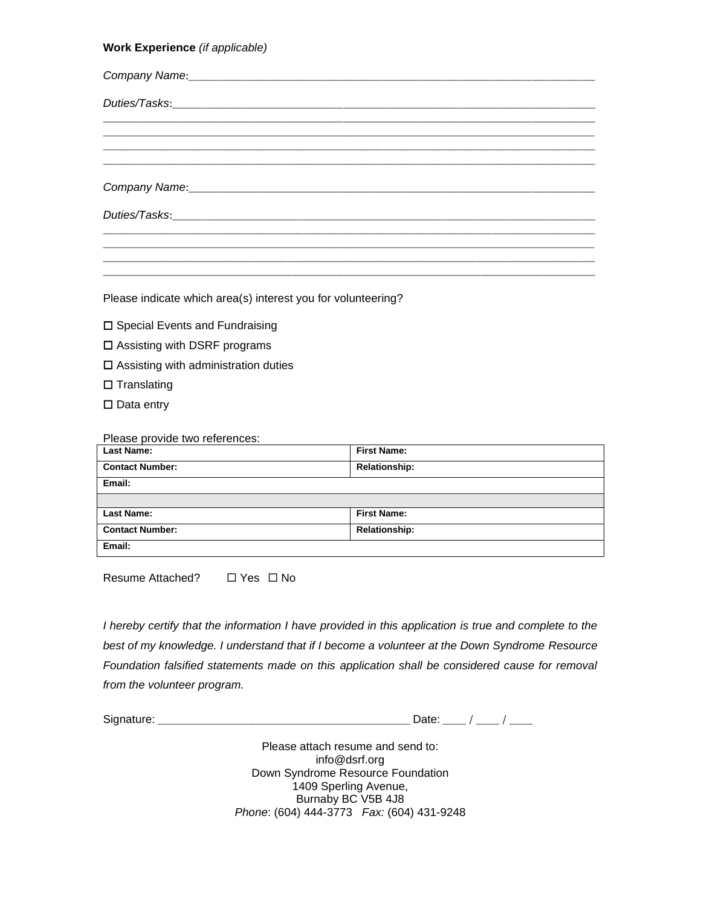### **Work Experience** *(if applicable)*

| Company Name: 1997 Manual Company Name: 1997 Manual Company Name: 1997 Manual Company Name: 1997 Manual Company |  |  |
|-----------------------------------------------------------------------------------------------------------------|--|--|
|                                                                                                                 |  |  |
|                                                                                                                 |  |  |
|                                                                                                                 |  |  |

Please indicate which area(s) interest you for volunteering?

- $\square$  Special Events and Fundraising
- □ Assisting with DSRF programs
- $\square$  Assisting with administration duties
- $\square$  Translating
- $\square$  Data entry

#### Please provide two references:

| <b>Last Name:</b>      | <b>First Name:</b>   |
|------------------------|----------------------|
| <b>Contact Number:</b> | <b>Relationship:</b> |
| Email:                 |                      |
|                        |                      |
| <b>Last Name:</b>      | <b>First Name:</b>   |
| <b>Contact Number:</b> | <b>Relationship:</b> |
| Email:                 |                      |

Resume Attached?  $\Box$  Yes  $\Box$  No

*I* hereby certify that the information *I* have provided in this application is true and complete to the *best of my knowledge. I understand that if I become a volunteer at the Down Syndrome Resource Foundation falsified statements made on this application shall be considered cause for removal from the volunteer program.*

Signature: \_\_\_\_\_\_\_\_\_\_\_\_\_\_\_\_\_\_\_\_\_\_\_\_\_\_\_\_\_\_\_\_\_\_\_\_\_\_\_\_\_\_\_\_ Date: \_\_\_\_ / \_\_\_\_ / \_\_\_\_

Please attach resume and send to: info@dsrf.org Down Syndrome Resource Foundation 1409 Sperling Avenue, Burnaby BC V5B 4J8 *Phone*: (604) 444-3773 *Fax:* (604) 431-9248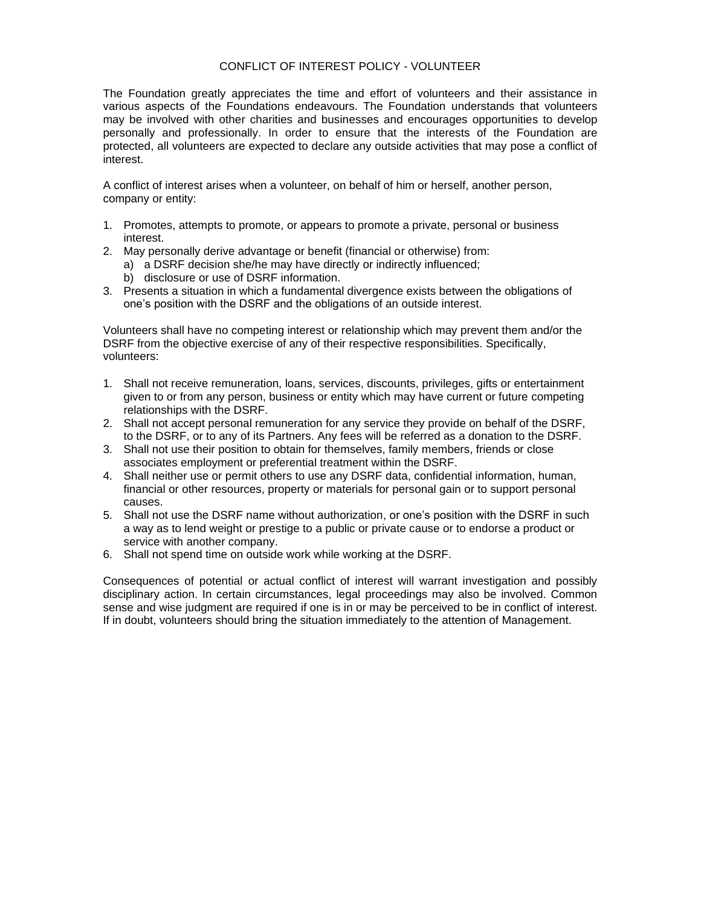### CONFLICT OF INTEREST POLICY - VOLUNTEER

The Foundation greatly appreciates the time and effort of volunteers and their assistance in various aspects of the Foundations endeavours. The Foundation understands that volunteers may be involved with other charities and businesses and encourages opportunities to develop personally and professionally. In order to ensure that the interests of the Foundation are protected, all volunteers are expected to declare any outside activities that may pose a conflict of interest.

A conflict of interest arises when a volunteer, on behalf of him or herself, another person, company or entity:

- 1. Promotes, attempts to promote, or appears to promote a private, personal or business interest.
- 2. May personally derive advantage or benefit (financial or otherwise) from:
	- a) a DSRF decision she/he may have directly or indirectly influenced;
	- b) disclosure or use of DSRF information.
- 3. Presents a situation in which a fundamental divergence exists between the obligations of one's position with the DSRF and the obligations of an outside interest.

Volunteers shall have no competing interest or relationship which may prevent them and/or the DSRF from the objective exercise of any of their respective responsibilities. Specifically, volunteers:

- 1. Shall not receive remuneration, loans, services, discounts, privileges, gifts or entertainment given to or from any person, business or entity which may have current or future competing relationships with the DSRF.
- 2. Shall not accept personal remuneration for any service they provide on behalf of the DSRF, to the DSRF, or to any of its Partners. Any fees will be referred as a donation to the DSRF.
- 3. Shall not use their position to obtain for themselves, family members, friends or close associates employment or preferential treatment within the DSRF.
- 4. Shall neither use or permit others to use any DSRF data, confidential information, human, financial or other resources, property or materials for personal gain or to support personal causes.
- 5. Shall not use the DSRF name without authorization, or one's position with the DSRF in such a way as to lend weight or prestige to a public or private cause or to endorse a product or service with another company.
- 6. Shall not spend time on outside work while working at the DSRF.

Consequences of potential or actual conflict of interest will warrant investigation and possibly disciplinary action. In certain circumstances, legal proceedings may also be involved. Common sense and wise judgment are required if one is in or may be perceived to be in conflict of interest. If in doubt, volunteers should bring the situation immediately to the attention of Management.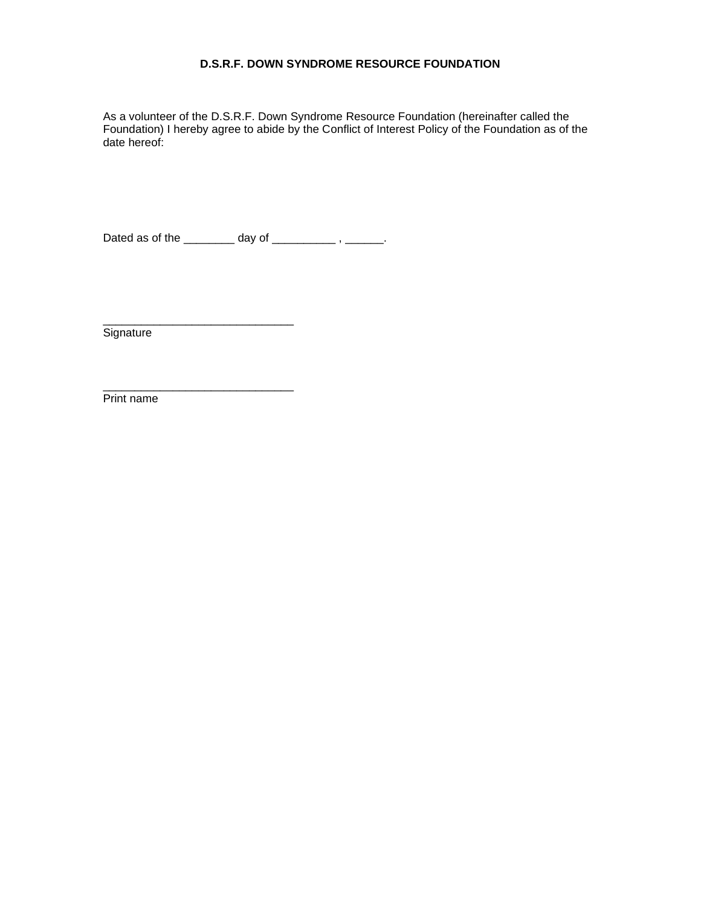# **D.S.R.F. DOWN SYNDROME RESOURCE FOUNDATION**

As a volunteer of the D.S.R.F. Down Syndrome Resource Foundation (hereinafter called the Foundation) I hereby agree to abide by the Conflict of Interest Policy of the Foundation as of the date hereof:

Dated as of the \_\_\_\_\_\_\_\_ day of \_\_\_\_\_\_\_\_\_\_\_, \_\_\_\_\_\_.

\_\_\_\_\_\_\_\_\_\_\_\_\_\_\_\_\_\_\_\_\_\_\_\_\_\_\_\_\_\_

**Signature** 

\_\_\_\_\_\_\_\_\_\_\_\_\_\_\_\_\_\_\_\_\_\_\_\_\_\_\_\_\_\_ Print name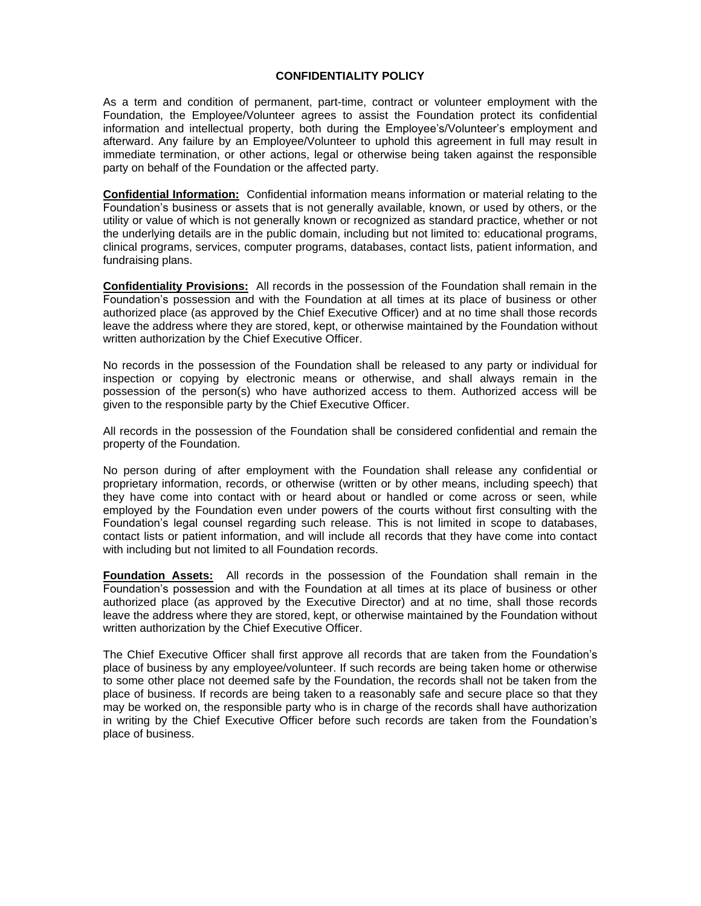### **CONFIDENTIALITY POLICY**

As a term and condition of permanent, part-time, contract or volunteer employment with the Foundation, the Employee/Volunteer agrees to assist the Foundation protect its confidential information and intellectual property, both during the Employee's/Volunteer's employment and afterward. Any failure by an Employee/Volunteer to uphold this agreement in full may result in immediate termination, or other actions, legal or otherwise being taken against the responsible party on behalf of the Foundation or the affected party.

**Confidential Information:** Confidential information means information or material relating to the Foundation's business or assets that is not generally available, known, or used by others, or the utility or value of which is not generally known or recognized as standard practice, whether or not the underlying details are in the public domain, including but not limited to: educational programs, clinical programs, services, computer programs, databases, contact lists, patient information, and fundraising plans.

**Confidentiality Provisions:** All records in the possession of the Foundation shall remain in the Foundation's possession and with the Foundation at all times at its place of business or other authorized place (as approved by the Chief Executive Officer) and at no time shall those records leave the address where they are stored, kept, or otherwise maintained by the Foundation without written authorization by the Chief Executive Officer.

No records in the possession of the Foundation shall be released to any party or individual for inspection or copying by electronic means or otherwise, and shall always remain in the possession of the person(s) who have authorized access to them. Authorized access will be given to the responsible party by the Chief Executive Officer.

All records in the possession of the Foundation shall be considered confidential and remain the property of the Foundation.

No person during of after employment with the Foundation shall release any confidential or proprietary information, records, or otherwise (written or by other means, including speech) that they have come into contact with or heard about or handled or come across or seen, while employed by the Foundation even under powers of the courts without first consulting with the Foundation's legal counsel regarding such release. This is not limited in scope to databases, contact lists or patient information, and will include all records that they have come into contact with including but not limited to all Foundation records.

**Foundation Assets:** All records in the possession of the Foundation shall remain in the Foundation's possession and with the Foundation at all times at its place of business or other authorized place (as approved by the Executive Director) and at no time, shall those records leave the address where they are stored, kept, or otherwise maintained by the Foundation without written authorization by the Chief Executive Officer.

The Chief Executive Officer shall first approve all records that are taken from the Foundation's place of business by any employee/volunteer. If such records are being taken home or otherwise to some other place not deemed safe by the Foundation, the records shall not be taken from the place of business. If records are being taken to a reasonably safe and secure place so that they may be worked on, the responsible party who is in charge of the records shall have authorization in writing by the Chief Executive Officer before such records are taken from the Foundation's place of business.